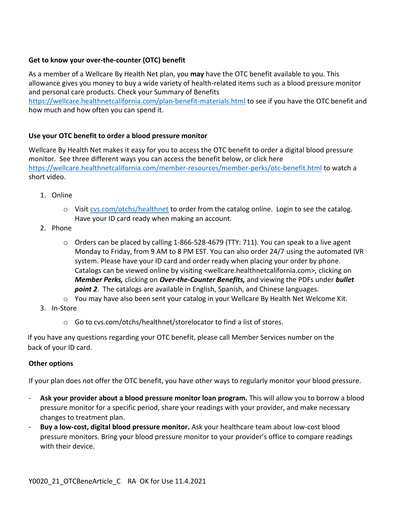## **Get to know your over-the-counter (OTC) benefit**

As a member of a Wellcare By Health Net plan, you **may** have the OTC benefit available to you. This allowance gives you money to buy a wide variety of health-related items such as a blood pressure monitor and personal care products. Check your Summary of Benefits

<https://wellcare.healthnetcalifornia.com/plan-benefit-materials.html> to see if you have the OTC benefit and how much and how often you can spend it.

## **Use your OTC benefit to order a blood pressure monitor**

Wellcare By Health Net makes it easy for you to access the OTC benefit to order a digital blood pressure monitor. See three different ways you can access the benefit below, or click here <https://wellcare.healthnetcalifornia.com/member-resources/member-perks/otc-benefit.html> to watch a short video.

- 1. Online
	- o Visit [cvs.com/otchs/healthnet](https://www.cvs.com/otchs/healthnet) to order from the catalog online. Login to see the catalog. Have your ID card ready when making an account.
- 2. Phone
	- o Orders can be placed by calling 1-866-528-4679 (TTY: 711). You can speak to a live agent Monday to Friday, from 9 AM to 8 PM EST. You can also order 24/7 using the automated IVR system. Please have your ID card and order ready when placing your order by phone. Catalogs can be viewed online by visiting <wellcare.healthnetcalifornia.com>, clicking on *Member Perks,* clicking on *Over-the-Counter Benefits,* and viewing the PDFs under *bullet point 2*. The catalogs are available in English, Spanish, and Chinese languages.
	- $\circ$  You may have also been sent your catalog in your Wellcare By Health Net Welcome Kit.
- 3. In-Store
	- o Go to cvs.com/otchs/healthnet/storelocator to find a list of stores.

If you have any questions regarding your OTC benefit, please call Member Services number on the back of your ID card.

## **Other options**

If your plan does not offer the OTC benefit, you have other ways to regularly monitor your blood pressure.

- **Ask your provider about a blood pressure monitor loan program.** This will allow you to borrow a blood pressure monitor for a specific period, share your readings with your provider, and make necessary changes to treatment plan.
- **Buy a low-cost, digital blood pressure monitor.** Ask your healthcare team about low-cost blood pressure monitors. Bring your blood pressure monitor to your provider's office to compare readings with their device.